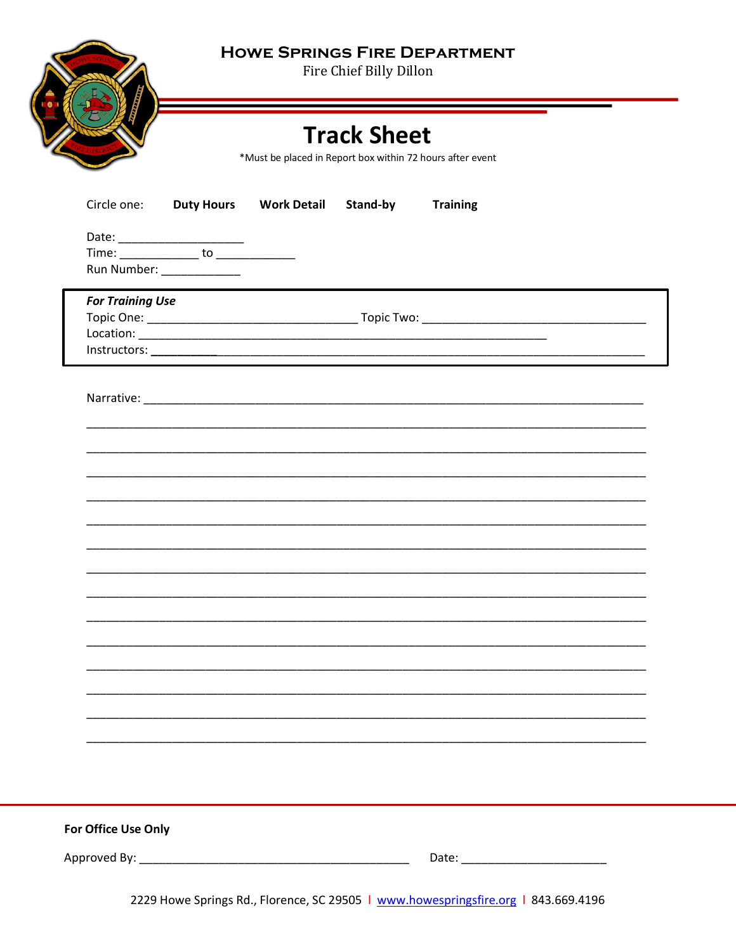**HOWE SPRINGS FIRE DEPARTMENT** 

Fire Chief Billy Dillon



**Track Sheet** 

\*Must be placed in Report box within 72 hours after event

|                     | Circle one: Duty Hours  |                                                 |  | <b>Work Detail Stand-by</b> | <b>Training</b> |  |  |
|---------------------|-------------------------|-------------------------------------------------|--|-----------------------------|-----------------|--|--|
|                     |                         |                                                 |  |                             |                 |  |  |
|                     |                         | Time: <u>________________</u> to ______________ |  |                             |                 |  |  |
|                     |                         | Run Number: ______________                      |  |                             |                 |  |  |
|                     |                         |                                                 |  |                             |                 |  |  |
|                     | <b>For Training Use</b> |                                                 |  |                             |                 |  |  |
|                     |                         |                                                 |  |                             |                 |  |  |
|                     |                         |                                                 |  |                             |                 |  |  |
|                     |                         |                                                 |  |                             |                 |  |  |
|                     |                         |                                                 |  |                             |                 |  |  |
|                     |                         |                                                 |  |                             |                 |  |  |
|                     |                         |                                                 |  |                             |                 |  |  |
|                     |                         |                                                 |  |                             |                 |  |  |
|                     |                         |                                                 |  |                             |                 |  |  |
|                     |                         |                                                 |  |                             |                 |  |  |
|                     |                         |                                                 |  |                             |                 |  |  |
|                     |                         |                                                 |  |                             |                 |  |  |
|                     |                         |                                                 |  |                             |                 |  |  |
|                     |                         |                                                 |  |                             |                 |  |  |
|                     |                         |                                                 |  |                             |                 |  |  |
|                     |                         |                                                 |  |                             |                 |  |  |
|                     |                         |                                                 |  |                             |                 |  |  |
|                     |                         |                                                 |  |                             |                 |  |  |
|                     |                         |                                                 |  |                             |                 |  |  |
|                     |                         |                                                 |  |                             |                 |  |  |
|                     |                         |                                                 |  |                             |                 |  |  |
|                     |                         |                                                 |  |                             |                 |  |  |
|                     |                         |                                                 |  |                             |                 |  |  |
|                     |                         |                                                 |  |                             |                 |  |  |
|                     |                         |                                                 |  |                             |                 |  |  |
|                     |                         |                                                 |  |                             |                 |  |  |
|                     |                         |                                                 |  |                             |                 |  |  |
|                     |                         |                                                 |  |                             |                 |  |  |
|                     |                         |                                                 |  |                             |                 |  |  |
| For Office Use Only |                         |                                                 |  |                             |                 |  |  |
|                     |                         |                                                 |  |                             |                 |  |  |
|                     |                         |                                                 |  |                             |                 |  |  |
|                     |                         |                                                 |  |                             |                 |  |  |

2229 Howe Springs Rd., Florence, SC 29505 | www.howespringsfire.org | 843.669.4196